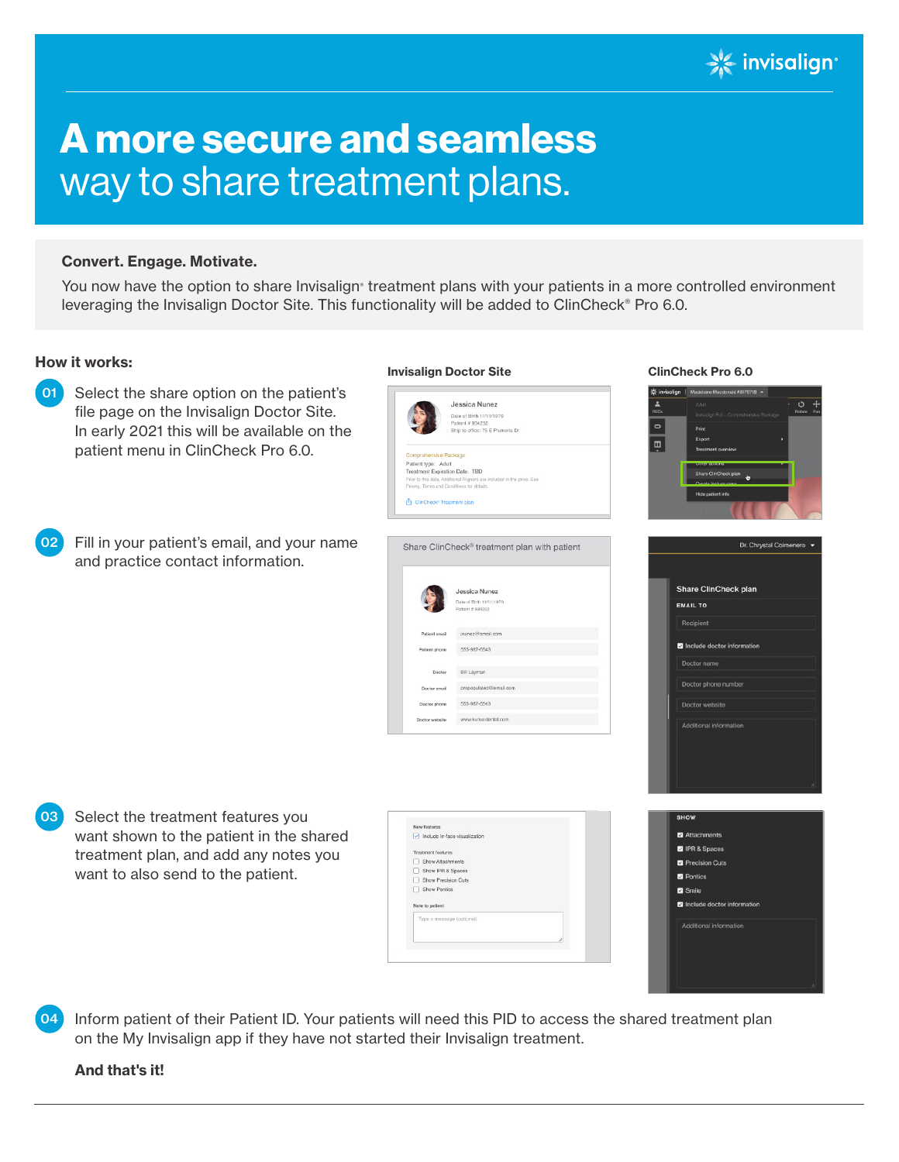

# A more secure and seamless way to share treatment plans.

## Convert. Engage. Motivate.

You now have the option to share Invisalign® treatment plans with your patients in a more controlled environment leveraging the Invisalign Doctor Site. This functionality will be added to ClinCheck® Pro 6.0.

# How it works:



Inform patient of their Patient ID. Your patients will need this PID to access the shared treatment plan on the My Invisalign app if they have not started their Invisalign treatment. 04

#### And that's it!